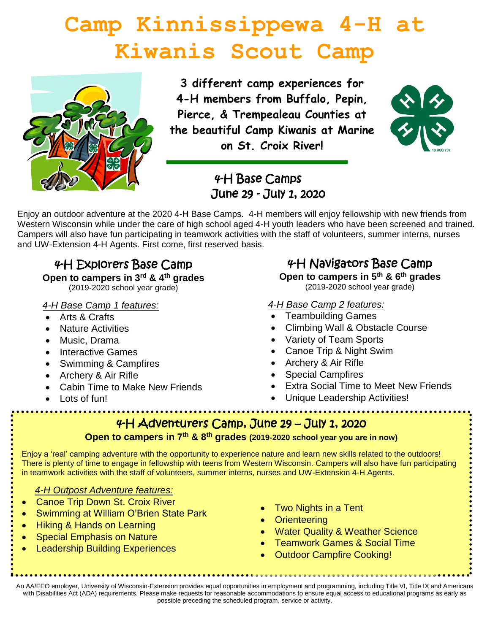# **Camp Kinnissippewa 4-H at Kiwanis Scout Camp**



**3 different camp experiences for 4-H members from Buffalo, Pepin, Pierce, & Trempealeau Counties at the beautiful Camp Kiwanis at Marine on St. Croix River!**



## 4-H Base Camps June 29 - July 1, 2020

Enjoy an outdoor adventure at the 2020 4-H Base Camps. 4-H members will enjoy fellowship with new friends from Western Wisconsin while under the care of high school aged 4-H youth leaders who have been screened and trained. Campers will also have fun participating in teamwork activities with the staff of volunteers, summer interns, nurses and UW-Extension 4-H Agents. First come, first reserved basis.

# 4-H Explorers Base Camp

#### **Open to campers in 3rd & 4th grades**

(2019-2020 school year grade)

## *4-H Base Camp 1 features:*

- Arts & Crafts
- Nature Activities
- Music, Drama
- Interactive Games
- Swimming & Campfires
- Archery & Air Rifle
- Cabin Time to Make New Friends
- Lots of fun!

# 4-H Navigators Base Camp

**Open to campers in 5th & 6th grades** (2019-2020 school year grade)

## *4-H Base Camp 2 features:*

- Teambuilding Games
- Climbing Wall & Obstacle Course
- Variety of Team Sports
- Canoe Trip & Night Swim
- Archery & Air Rifle
- Special Campfires
- Extra Social Time to Meet New Friends
- Unique Leadership Activities!

## 4-H Adventurers Camp, June 29 – July 1, 2020

## **Open to campers in 7th & 8th grades (2019-2020 school year you are in now)**

Enjoy a 'real' camping adventure with the opportunity to experience nature and learn new skills related to the outdoors! There is plenty of time to engage in fellowship with teens from Western Wisconsin. Campers will also have fun participating in teamwork activities with the staff of volunteers, summer interns, nurses and UW-Extension 4-H Agents.

## *4-H Outpost Adventure features:*

- **Canoe Trip Down St. Croix River**
- Swimming at William O'Brien State Park
- Hiking & Hands on Learning
- **Special Emphasis on Nature**
- **Leadership Building Experiences**
- Two Nights in a Tent
- Orienteering
- Water Quality & Weather Science
- Teamwork Games & Social Time
- **Outdoor Campfire Cooking!**

An AA/EEO employer, University of Wisconsin-Extension provides equal opportunities in employment and programming, including Title VI, Title IX and Americans with Disabilities Act (ADA) requirements. Please make requests for reasonable accommodations to ensure equal access to educational programs as early as possible preceding the scheduled program, service or activity.